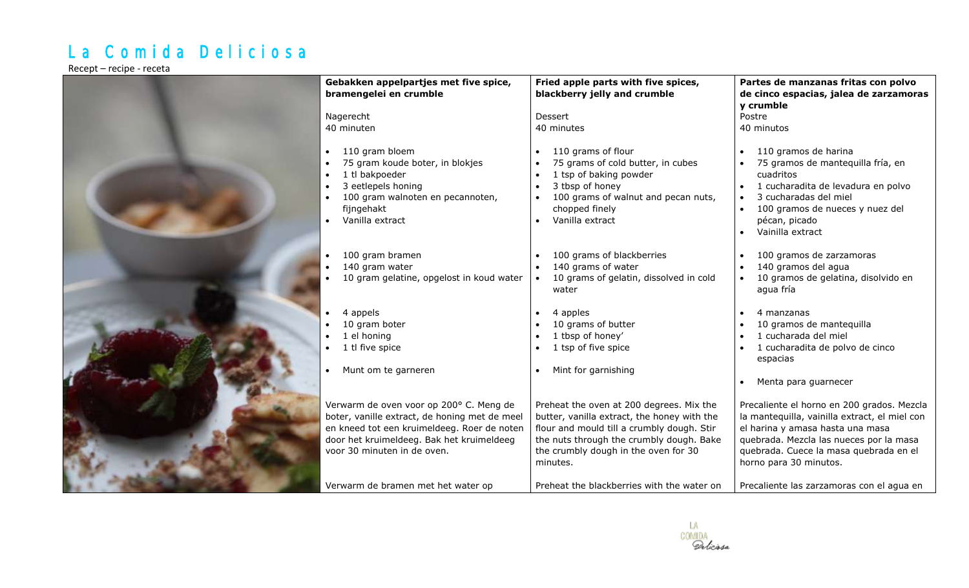## La Comida Deliciosa

Recept – recipe - receta

| Gebakken appelpartjes met five spice,                                                                                                                                                                                                                     | Fried apple parts with five spices,                                                                                                                                                                                                                                                 | Partes de manzanas fritas con polvo                                                                                                                                                                                                                                                         |
|-----------------------------------------------------------------------------------------------------------------------------------------------------------------------------------------------------------------------------------------------------------|-------------------------------------------------------------------------------------------------------------------------------------------------------------------------------------------------------------------------------------------------------------------------------------|---------------------------------------------------------------------------------------------------------------------------------------------------------------------------------------------------------------------------------------------------------------------------------------------|
| bramengelei en crumble                                                                                                                                                                                                                                    | blackberry jelly and crumble                                                                                                                                                                                                                                                        | de cinco espacias, jalea de zarzamoras                                                                                                                                                                                                                                                      |
| Nagerecht                                                                                                                                                                                                                                                 | Dessert                                                                                                                                                                                                                                                                             | y crumble<br>Postre                                                                                                                                                                                                                                                                         |
| 40 minuten                                                                                                                                                                                                                                                | 40 minutes                                                                                                                                                                                                                                                                          | 40 minutos                                                                                                                                                                                                                                                                                  |
|                                                                                                                                                                                                                                                           |                                                                                                                                                                                                                                                                                     |                                                                                                                                                                                                                                                                                             |
| 110 gram bloem<br>75 gram koude boter, in blokjes<br>1 tl bakpoeder<br>$\bullet$<br>3 eetlepels honing<br>$\bullet$<br>100 gram walnoten en pecannoten,<br>$\bullet$<br>fijngehakt<br>Vanilla extract<br>$\bullet$                                        | 110 grams of flour<br>75 grams of cold butter, in cubes<br>1 tsp of baking powder<br>3 tbsp of honey<br>$\bullet$<br>100 grams of walnut and pecan nuts,<br>chopped finely<br>Vanilla extract                                                                                       | 110 gramos de harina<br>75 gramos de mantequilla fría, en<br>cuadritos<br>1 cucharadita de levadura en polvo<br>3 cucharadas del miel<br>100 gramos de nueces y nuez del<br>$\bullet$<br>pécan, picado<br>Vainilla extract                                                                  |
| 100 gram bramen<br>$\bullet$<br>140 gram water<br>$\bullet$<br>10 gram gelatine, opgelost in koud water                                                                                                                                                   | 100 grams of blackberries<br>140 grams of water<br>10 grams of gelatin, dissolved in cold<br>water                                                                                                                                                                                  | 100 gramos de zarzamoras<br>140 gramos del agua<br>10 gramos de gelatina, disolvido en<br>agua fría                                                                                                                                                                                         |
| 4 appels<br>$\bullet$<br>10 gram boter<br>1 el honing<br>1 tl five spice<br>Munt om te garneren                                                                                                                                                           | 4 apples<br>$\bullet$<br>10 grams of butter<br>1 tbsp of honey'<br>1 tsp of five spice<br>Mint for garnishing                                                                                                                                                                       | 4 manzanas<br>10 gramos de mantequilla<br>1 cucharada del miel<br>1 cucharadita de polvo de cinco<br>espacias<br>Menta para guarnecer                                                                                                                                                       |
| Verwarm de oven voor op 200° C. Meng de<br>boter, vanille extract, de honing met de meel<br>en kneed tot een kruimeldeeg. Roer de noten<br>door het kruimeldeeg. Bak het kruimeldeeg<br>voor 30 minuten in de oven.<br>Verwarm de bramen met het water op | Preheat the oven at 200 degrees. Mix the<br>butter, vanilla extract, the honey with the<br>flour and mould till a crumbly dough. Stir<br>the nuts through the crumbly dough. Bake<br>the crumbly dough in the oven for 30<br>minutes.<br>Preheat the blackberries with the water on | Precaliente el horno en 200 grados. Mezcla<br>la mantequilla, vainilla extract, el miel con<br>el harina y amasa hasta una masa<br>quebrada. Mezcla las nueces por la masa<br>quebrada. Cuece la masa quebrada en el<br>horno para 30 minutos.<br>Precaliente las zarzamoras con el agua en |